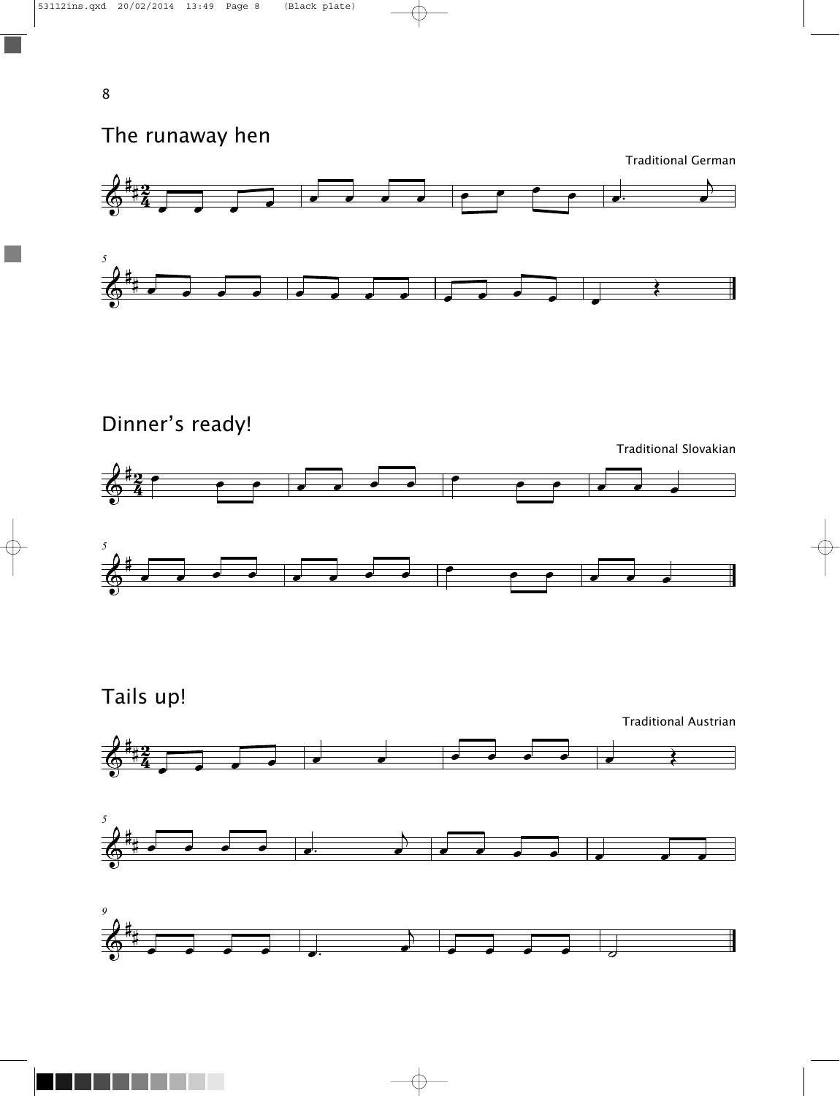The runaway hen

Traditional German



Dinner's ready!